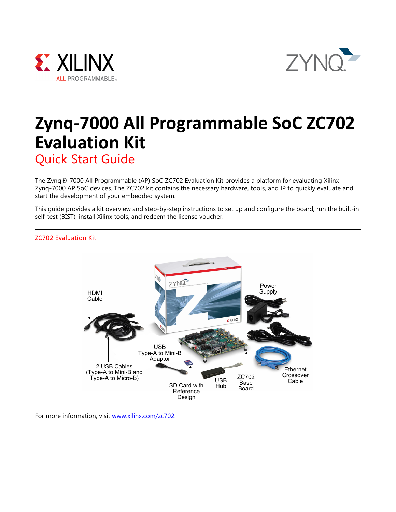



# **Zynq-7000 All Programmable SoC ZC702 Evaluation Kit** Quick Start Guide

The Zynq®-7000 All Programmable (AP) SoC ZC702 Evaluation Kit provides a platform for evaluating Xilinx Zynq-7000 AP SoC devices. The ZC702 kit contains the necessary hardware, tools, and IP to quickly evaluate and start the development of your embedded system.

This guide provides a kit overview and step-by-step instructions to set up and configure the board, run the built-in self-test (BIST), install Xilinx tools, and redeem the license voucher.



ZC702 Evaluation Kit

For more information, visit [www.xilinx.com/zc702.](https://www.xilinx.com/products/boards-and-kits/ek-z7-zc702-g.html)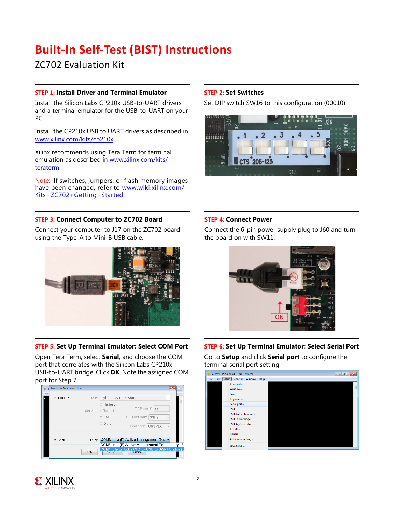## **Built-In Self-Test (BIST) Instructions**

ZC702 Evaluation Kit

#### **STEP 1: Install Driver and Terminal Emulator**

Install the Silicon Labs CP210x USB-to-UART drivers and a terminal emulator for the USB-to-UART on your PC.

Install the CP210x USB to UART drivers as described in [www.xilinx.com/kits/cp210x](http://www.xilinx.com/support/documentation/boards_and_kits/install/ug1033-cp210x-usb-uart-install.pdf).

Xilinx recommends using Tera Term for terminal emulation as described in [www.xilinx.com/kits/](http://www.xilinx.com/support/documentation/boards_and_kits/install/ug1036-tera-term-install.pdf) [teraterm.](http://www.xilinx.com/support/documentation/boards_and_kits/install/ug1036-tera-term-install.pdf)

Note: If switches, jumpers, or flash memory images have been changed, refer to [www.wiki.xilinx.com/](www.wiki.xilinx.com/Kits+ZC702+Getting+Started) [Kits+ZC702+Getting+Started.](www.wiki.xilinx.com/Kits+ZC702+Getting+Started)

#### **STEP 3: Connect Computer to ZC702 Board**

Connect your computer to J17 on the ZC702 board using the Type-A to Mini-B USB cable.



## **STEP 5: Set Up Terminal Emulator: Select COM Port**

Open Tera Term, select **Serial**, and choose the COM port that correlates with the Silicon Labs CP210x USB-to-UART bridge. Click **OK**. Note the assigned COM port for Step 7.

|      | Tera Term: New connection |                                                                                                    | $\Sigma$ |
|------|---------------------------|----------------------------------------------------------------------------------------------------|----------|
| File | ◎ TCP/IP                  | Host: myhost.example.com                                                                           | $\sim$   |
|      |                           | <b>☑ History</b>                                                                                   |          |
|      |                           | 22<br>TCP port#:<br>Service: O Telnet                                                              |          |
|      |                           | SSH version: SSH2<br>$\circ$ SSH                                                                   |          |
|      |                           | © Other<br>Protocol: UNSPEC                                                                        |          |
|      | · Serial                  | COM3: Intel(R) Active Management Tec -<br>Port:                                                    |          |
|      |                           | COM3: Intel(R) Active Management Technology - S<br>COM4: Silicon Labs CP210x USB to UART Bridge (C |          |
|      |                           | OK<br><b>Cancer</b><br>neip                                                                        |          |
|      |                           |                                                                                                    |          |

## **STEP 2: Set Switches**

Set DIP switch SW16 to this configuration (00010):



#### **STEP 4: Connect Power**

Connect the 6-pin power supply plug to J60 and turn the board on with SW11.



### **STEP 6: Set Up Terminal Emulator: Select Serial Port**

Go to **Setup** and click **Serial port** to configure the terminal serial port setting.



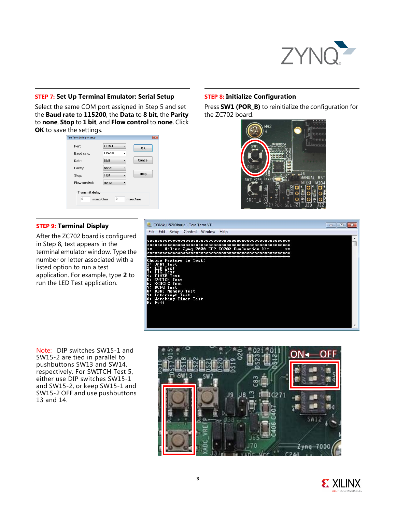

#### **STEP 7: Set Up Terminal Emulator: Serial Setup**

Select the same COM port assigned in Step 5 and set the **Baud rate** to **115200**, the **Data** to **8 bit**, the **Parity** to **none**, **Stop** to **1 bit**, and **Flow control** to **none**. Click **OK** to save the settings.

| era Term: Serial port setup | $-x$                  |
|-----------------------------|-----------------------|
| Port:                       | COM4<br>OK            |
| Baud rate:                  | 115200                |
| Data:                       | Cancel<br>8 bit       |
| Parity:                     | none                  |
| Stop:                       | Help<br>1 bit         |
| Flow control:               | none                  |
| <b>Transmit delay</b>       |                       |
| 0<br>msec/char              | $\bf{0}$<br>msec/line |
|                             |                       |

#### **STEP 9: Terminal Display**

After the ZC702 board is configured in Step 8, text appears in the terminal emulator window. Type the number or letter associated with a listed option to run a test application. For example, type **2** to run the LED Test application.

## **STEP 8: Initialize Configuration**

Press **SW1 (POR\_B)** to reinitialize the configuration for the ZC702 board.





Note: DIP switches SW15-1 and SW15-2 are tied in parallel to pushbuttons SW13 and SW14, respectively. For SWITCH Test 5, either use DIP switches SW15-1 and SW15-2, or keep SW15-1 and SW15-2 OFF and use pushbuttons 13 and 14.